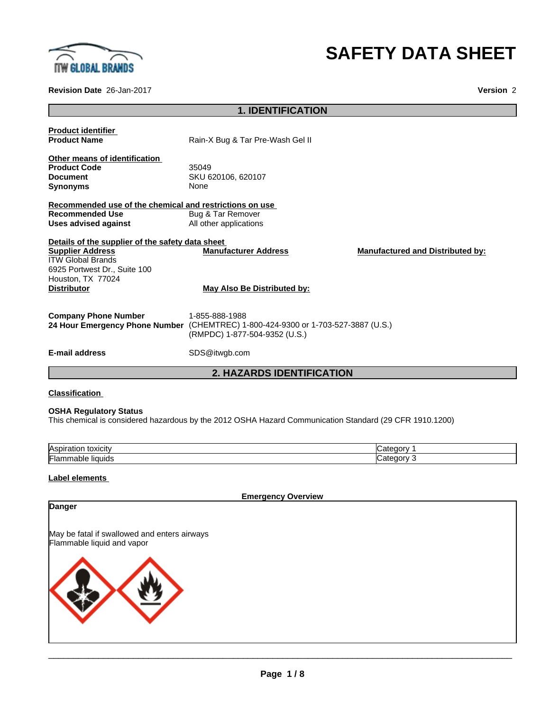

# **SAFETY DATA SHEET**

**Revision Date** 26-Jan-2017 **Version** 2

# **1. IDENTIFICATION**

| <b>Product identifier</b><br><b>Product Name</b>        |                                                                                     |                                         |  |
|---------------------------------------------------------|-------------------------------------------------------------------------------------|-----------------------------------------|--|
|                                                         | Rain-X Bug & Tar Pre-Wash Gel II                                                    |                                         |  |
| Other means of identification                           |                                                                                     |                                         |  |
| <b>Product Code</b>                                     | 35049                                                                               |                                         |  |
| <b>Document</b>                                         | SKU 620106, 620107                                                                  |                                         |  |
| Synonyms                                                | None                                                                                |                                         |  |
| Recommended use of the chemical and restrictions on use |                                                                                     |                                         |  |
| <b>Recommended Use</b>                                  | Bug & Tar Remover                                                                   |                                         |  |
| <b>Uses advised against</b>                             | All other applications                                                              |                                         |  |
| Details of the supplier of the safety data sheet        |                                                                                     |                                         |  |
| <b>Supplier Address</b>                                 | <b>Manufacturer Address</b>                                                         | <b>Manufactured and Distributed by:</b> |  |
| ITW Global Brands                                       |                                                                                     |                                         |  |
| 6925 Portwest Dr., Suite 100                            |                                                                                     |                                         |  |
| Houston, TX 77024                                       |                                                                                     |                                         |  |
| <b>Distributor</b>                                      | May Also Be Distributed by:                                                         |                                         |  |
|                                                         |                                                                                     |                                         |  |
| <b>Company Phone Number</b>                             | 1-855-888-1988                                                                      |                                         |  |
| 24 Hour Emergency Phone Number                          | (CHEMTREC) 1-800-424-9300 or 1-703-527-3887 (U.S.)<br>(RMPDC) 1-877-504-9352 (U.S.) |                                         |  |
|                                                         |                                                                                     |                                         |  |
| <b>E-mail address</b>                                   | SDS@itwgb.com                                                                       |                                         |  |
|                                                         |                                                                                     |                                         |  |

## **2. HAZARDS IDENTIFICATION**

## **Classification**

## **OSHA Regulatory Status**

This chemical is considered hazardous by the 2012 OSHA Hazard Communication Standard (29 CFR 1910.1200)

| <b>Aspira</b><br>toxicity<br>auvi |  |
|-----------------------------------|--|
| Flan<br>liauids                   |  |

## **Label elements**

**Emergency Overview**

| Danger                                                                     |
|----------------------------------------------------------------------------|
| May be fatal if swallowed and enters airways<br>Flammable liquid and vapor |
|                                                                            |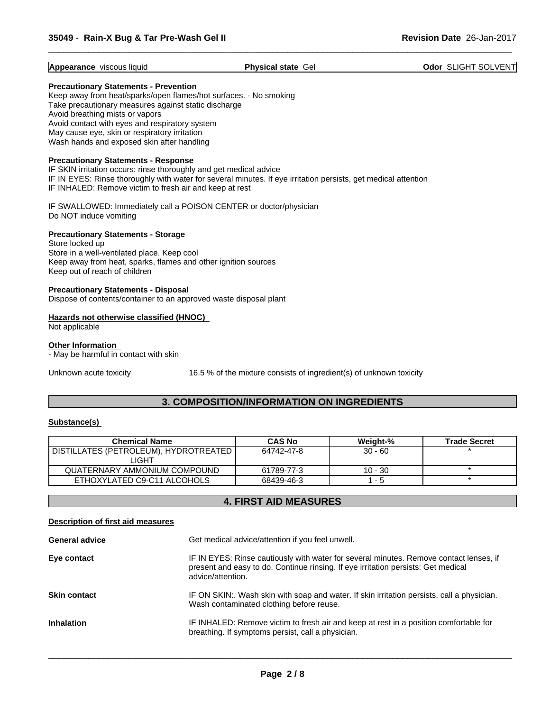#### **Appearance** viscous liquid **Physical state** Gel **Odor** SLIGHT SOLVENT

 $\overline{\phantom{a}}$  ,  $\overline{\phantom{a}}$  ,  $\overline{\phantom{a}}$  ,  $\overline{\phantom{a}}$  ,  $\overline{\phantom{a}}$  ,  $\overline{\phantom{a}}$  ,  $\overline{\phantom{a}}$  ,  $\overline{\phantom{a}}$  ,  $\overline{\phantom{a}}$  ,  $\overline{\phantom{a}}$  ,  $\overline{\phantom{a}}$  ,  $\overline{\phantom{a}}$  ,  $\overline{\phantom{a}}$  ,  $\overline{\phantom{a}}$  ,  $\overline{\phantom{a}}$  ,  $\overline{\phantom{a}}$ 

#### **Precautionary Statements - Prevention**

Keep away from heat/sparks/open flames/hot surfaces. - No smoking Take precautionary measures against static discharge Avoid breathing mists or vapors Avoid contact with eyes and respiratory system May cause eye, skin or respiratory irritation Wash hands and exposed skin after handling

#### **Precautionary Statements - Response**

IF SKIN irritation occurs: rinse thoroughly and get medical advice IF IN EYES: Rinse thoroughly with water for several minutes. If eye irritation persists, get medical attention IF INHALED: Remove victim to fresh air and keep at rest

IF SWALLOWED: Immediately call a POISON CENTER or doctor/physician Do NOT induce vomiting

## **Precautionary Statements - Storage**

Store locked up Store in a well-ventilated place. Keep cool Keep away from heat, sparks, flames and other ignition sources Keep out of reach of children

#### **Precautionary Statements - Disposal**

Dispose of contents/container to an approved waste disposal plant

## **Hazards not otherwise classified (HNOC)**

Not applicable

#### **Other Information**

- May be harmful in contact with skin

Unknown acute toxicity 16.5 % of the mixture consists of ingredient(s) of unknown toxicity

## **3. COMPOSITION/INFORMATION ON INGREDIENTS**

#### **Substance(s)**

| <b>Chemical Name</b>                  | <b>CAS No</b> | Weight-%  | <b>Trade Secret</b> |
|---------------------------------------|---------------|-----------|---------------------|
| DISTILLATES (PETROLEUM), HYDROTREATED | 64742-47-8    | $30 - 60$ |                     |
| LIGHT                                 |               |           |                     |
| QUATERNARY AMMONIUM COMPOUND          | 61789-77-3    | $10 - 30$ |                     |
| ETHOXYLATED C9-C11 ALCOHOLS           | 68439-46-3    | -5        |                     |

# **4. FIRST AID MEASURES**

#### **Description of first aid measures**

| <b>General advice</b> | Get medical advice/attention if you feel unwell.                                                                                                                                                 |  |
|-----------------------|--------------------------------------------------------------------------------------------------------------------------------------------------------------------------------------------------|--|
| Eye contact           | IF IN EYES: Rinse cautiously with water for several minutes. Remove contact lenses, if<br>present and easy to do. Continue rinsing. If eye irritation persists: Get medical<br>advice/attention. |  |
| <b>Skin contact</b>   | IF ON SKIN:. Wash skin with soap and water. If skin irritation persists, call a physician.<br>Wash contaminated clothing before reuse.                                                           |  |
| <b>Inhalation</b>     | IF INHALED: Remove victim to fresh air and keep at rest in a position comfortable for<br>breathing. If symptoms persist, call a physician.                                                       |  |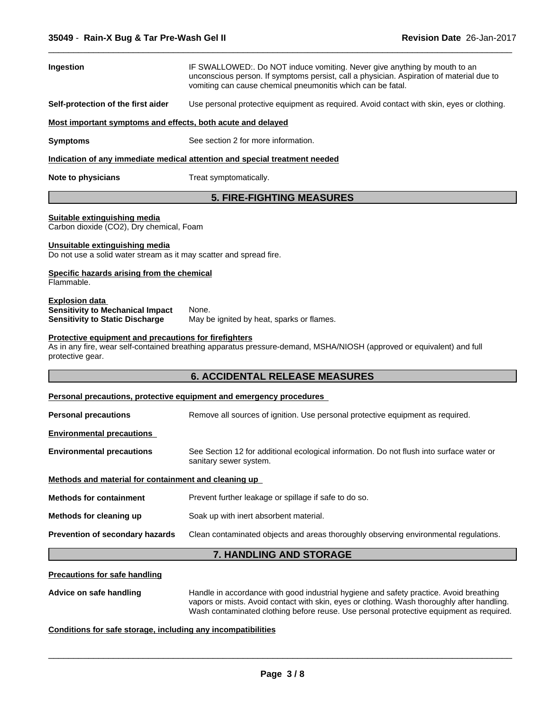| Ingestion                                                                                                                                                        | IF SWALLOWED:. Do NOT induce vomiting. Never give anything by mouth to an<br>unconscious person. If symptoms persist, call a physician. Aspiration of material due to<br>vomiting can cause chemical pneumonitis which can be fatal. |  |  |  |
|------------------------------------------------------------------------------------------------------------------------------------------------------------------|--------------------------------------------------------------------------------------------------------------------------------------------------------------------------------------------------------------------------------------|--|--|--|
| Self-protection of the first aider                                                                                                                               | Use personal protective equipment as required. Avoid contact with skin, eyes or clothing.                                                                                                                                            |  |  |  |
| Most important symptoms and effects, both acute and delayed                                                                                                      |                                                                                                                                                                                                                                      |  |  |  |
| <b>Symptoms</b>                                                                                                                                                  | See section 2 for more information.                                                                                                                                                                                                  |  |  |  |
|                                                                                                                                                                  | Indication of any immediate medical attention and special treatment needed                                                                                                                                                           |  |  |  |
| Treat symptomatically.<br>Note to physicians                                                                                                                     |                                                                                                                                                                                                                                      |  |  |  |
|                                                                                                                                                                  | <b>5. FIRE-FIGHTING MEASURES</b>                                                                                                                                                                                                     |  |  |  |
| Suitable extinguishing media<br>Carbon dioxide (CO2), Dry chemical, Foam                                                                                         |                                                                                                                                                                                                                                      |  |  |  |
| Unsuitable extinguishing media<br>Do not use a solid water stream as it may scatter and spread fire.                                                             |                                                                                                                                                                                                                                      |  |  |  |
| Specific hazards arising from the chemical<br>Flammable.                                                                                                         |                                                                                                                                                                                                                                      |  |  |  |
| <b>Explosion data</b><br><b>Sensitivity to Mechanical Impact</b><br>None.<br><b>Sensitivity to Static Discharge</b><br>May be ignited by heat, sparks or flames. |                                                                                                                                                                                                                                      |  |  |  |
| Protective equipment and precautions for firefighters<br>protective gear.                                                                                        | As in any fire, wear self-contained breathing apparatus pressure-demand, MSHA/NIOSH (approved or equivalent) and full                                                                                                                |  |  |  |
|                                                                                                                                                                  | <b>6. ACCIDENTAL RELEASE MEASURES</b>                                                                                                                                                                                                |  |  |  |
|                                                                                                                                                                  | Personal precautions, protective equipment and emergency procedures                                                                                                                                                                  |  |  |  |
| <b>Personal precautions</b>                                                                                                                                      | Remove all sources of ignition. Use personal protective equipment as required.                                                                                                                                                       |  |  |  |
| <b>Environmental precautions</b>                                                                                                                                 |                                                                                                                                                                                                                                      |  |  |  |
| <b>Environmental precautions</b>                                                                                                                                 | See Section 12 for additional ecological information. Do not flush into surface water or<br>sanitary sewer system.                                                                                                                   |  |  |  |
| Methods and material for containment and cleaning up                                                                                                             |                                                                                                                                                                                                                                      |  |  |  |
| <b>Methods for containment</b>                                                                                                                                   | Prevent further leakage or spillage if safe to do so.                                                                                                                                                                                |  |  |  |
| Methods for cleaning up                                                                                                                                          | Soak up with inert absorbent material.                                                                                                                                                                                               |  |  |  |
| Prevention of secondary hazards                                                                                                                                  | Clean contaminated objects and areas thoroughly observing environmental regulations.                                                                                                                                                 |  |  |  |
|                                                                                                                                                                  | 7. HANDLING AND STORAGE                                                                                                                                                                                                              |  |  |  |
| <b>Precautions for safe handling</b>                                                                                                                             |                                                                                                                                                                                                                                      |  |  |  |
| Advice on safe handling                                                                                                                                          | Handle in accordance with good industrial hygiene and safety practice. Avoid breathing<br>vapors or mists. Avoid contact with skin, eyes or clothing. Wash thoroughly after handling.                                                |  |  |  |

 $\overline{\phantom{a}}$  ,  $\overline{\phantom{a}}$  ,  $\overline{\phantom{a}}$  ,  $\overline{\phantom{a}}$  ,  $\overline{\phantom{a}}$  ,  $\overline{\phantom{a}}$  ,  $\overline{\phantom{a}}$  ,  $\overline{\phantom{a}}$  ,  $\overline{\phantom{a}}$  ,  $\overline{\phantom{a}}$  ,  $\overline{\phantom{a}}$  ,  $\overline{\phantom{a}}$  ,  $\overline{\phantom{a}}$  ,  $\overline{\phantom{a}}$  ,  $\overline{\phantom{a}}$  ,  $\overline{\phantom{a}}$ 

**Conditions for safe storage, including any incompatibilities**

 $\overline{\phantom{a}}$  ,  $\overline{\phantom{a}}$  ,  $\overline{\phantom{a}}$  ,  $\overline{\phantom{a}}$  ,  $\overline{\phantom{a}}$  ,  $\overline{\phantom{a}}$  ,  $\overline{\phantom{a}}$  ,  $\overline{\phantom{a}}$  ,  $\overline{\phantom{a}}$  ,  $\overline{\phantom{a}}$  ,  $\overline{\phantom{a}}$  ,  $\overline{\phantom{a}}$  ,  $\overline{\phantom{a}}$  ,  $\overline{\phantom{a}}$  ,  $\overline{\phantom{a}}$  ,  $\overline{\phantom{a}}$ 

Wash contaminated clothing before reuse. Use personal protective equipment as required.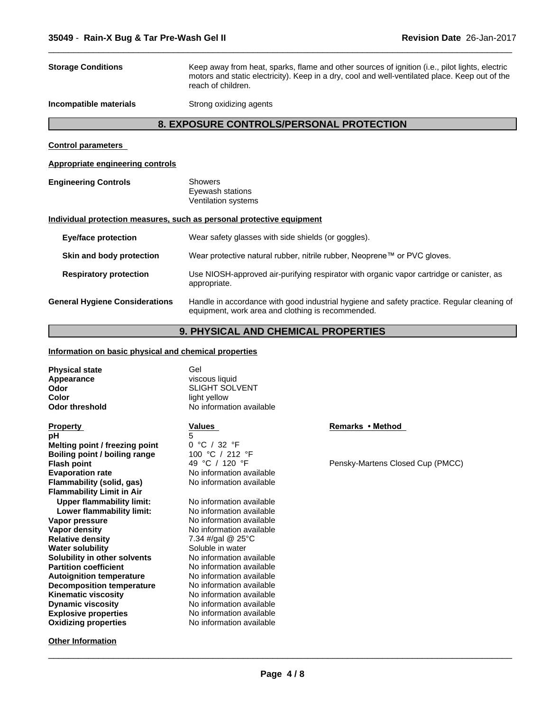| <b>Storage Conditions</b>                                                         | Keep away from heat, sparks, flame and other sources of ignition (i.e., pilot lights, electric<br>motors and static electricity). Keep in a dry, cool and well-ventilated place. Keep out of the<br>reach of children. |  |
|-----------------------------------------------------------------------------------|------------------------------------------------------------------------------------------------------------------------------------------------------------------------------------------------------------------------|--|
| Incompatible materials                                                            | Strong oxidizing agents                                                                                                                                                                                                |  |
|                                                                                   | 8. EXPOSURE CONTROLS/PERSONAL PROTECTION                                                                                                                                                                               |  |
| <b>Control parameters</b>                                                         |                                                                                                                                                                                                                        |  |
| <b>Appropriate engineering controls</b>                                           |                                                                                                                                                                                                                        |  |
| <b>Engineering Controls</b>                                                       | <b>Showers</b><br>Eyewash stations<br>Ventilation systems                                                                                                                                                              |  |
|                                                                                   | Individual protection measures, such as personal protective equipment                                                                                                                                                  |  |
| Wear safety glasses with side shields (or goggles).<br><b>Eye/face protection</b> |                                                                                                                                                                                                                        |  |
| Skin and body protection                                                          | Wear protective natural rubber, nitrile rubber, Neoprene™ or PVC gloves.                                                                                                                                               |  |
| <b>Respiratory protection</b>                                                     | Use NIOSH-approved air-purifying respirator with organic vapor cartridge or canister, as<br>appropriate.                                                                                                               |  |
| <b>General Hygiene Considerations</b>                                             | Handle in accordance with good industrial hygiene and safety practice. Regular cleaning of<br>equipment, work area and clothing is recommended.                                                                        |  |
|                                                                                   |                                                                                                                                                                                                                        |  |

 $\overline{\phantom{a}}$  ,  $\overline{\phantom{a}}$  ,  $\overline{\phantom{a}}$  ,  $\overline{\phantom{a}}$  ,  $\overline{\phantom{a}}$  ,  $\overline{\phantom{a}}$  ,  $\overline{\phantom{a}}$  ,  $\overline{\phantom{a}}$  ,  $\overline{\phantom{a}}$  ,  $\overline{\phantom{a}}$  ,  $\overline{\phantom{a}}$  ,  $\overline{\phantom{a}}$  ,  $\overline{\phantom{a}}$  ,  $\overline{\phantom{a}}$  ,  $\overline{\phantom{a}}$  ,  $\overline{\phantom{a}}$ 

# **9. PHYSICAL AND CHEMICAL PROPERTIES**

## **Information on basic physical and chemical properties**

| <b>Physical state</b><br>Appearance<br>Odor<br>Color<br><b>Odor threshold</b> | Gel<br>viscous liquid<br><b>SLIGHT SOLVENT</b><br>light yellow<br>No information available |                                  |
|-------------------------------------------------------------------------------|--------------------------------------------------------------------------------------------|----------------------------------|
| <b>Property</b>                                                               | <b>Values</b>                                                                              | Remarks • Method                 |
| рH                                                                            | 5                                                                                          |                                  |
| Melting point / freezing point                                                | 0 °C / 32 °F                                                                               |                                  |
| Boiling point / boiling range                                                 | 100 °C / 212 °F                                                                            |                                  |
| <b>Flash point</b>                                                            | 49 °C / 120 °F                                                                             | Pensky-Martens Closed Cup (PMCC) |
| <b>Evaporation rate</b>                                                       | No information available                                                                   |                                  |
| <b>Flammability (solid, gas)</b>                                              | No information available                                                                   |                                  |
| <b>Flammability Limit in Air</b>                                              |                                                                                            |                                  |
| <b>Upper flammability limit:</b>                                              | No information available                                                                   |                                  |
| Lower flammability limit:                                                     | No information available                                                                   |                                  |
| Vapor pressure                                                                | No information available                                                                   |                                  |
| Vapor density                                                                 | No information available                                                                   |                                  |
| <b>Relative density</b>                                                       | 7.34 #/gal @ 25 $\degree$ C                                                                |                                  |
| <b>Water solubility</b>                                                       | Soluble in water                                                                           |                                  |
| Solubility in other solvents                                                  | No information available                                                                   |                                  |
| <b>Partition coefficient</b>                                                  | No information available                                                                   |                                  |
| <b>Autoignition temperature</b>                                               | No information available                                                                   |                                  |
| <b>Decomposition temperature</b>                                              | No information available                                                                   |                                  |
| Kinematic viscosity                                                           | No information available                                                                   |                                  |
| <b>Dynamic viscosity</b>                                                      | No information available                                                                   |                                  |
| <b>Explosive properties</b>                                                   | No information available                                                                   |                                  |
| <b>Oxidizing properties</b>                                                   | No information available                                                                   |                                  |
| <b>Other Information</b>                                                      |                                                                                            |                                  |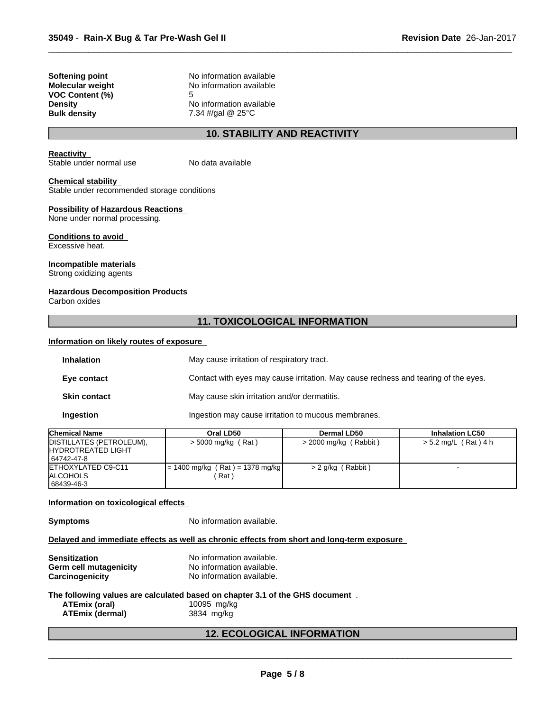| Softening point        |
|------------------------|
| Molecular weight       |
| <b>VOC Content (%)</b> |
| Density                |
| <b>Bulk density</b>    |

**Softening point** No information available **No information available VOC Content (%)** 5 **No information available Bulk density** 7.34 #/gal @ 25°C

## **10. STABILITY AND REACTIVITY**

 $\overline{\phantom{a}}$  ,  $\overline{\phantom{a}}$  ,  $\overline{\phantom{a}}$  ,  $\overline{\phantom{a}}$  ,  $\overline{\phantom{a}}$  ,  $\overline{\phantom{a}}$  ,  $\overline{\phantom{a}}$  ,  $\overline{\phantom{a}}$  ,  $\overline{\phantom{a}}$  ,  $\overline{\phantom{a}}$  ,  $\overline{\phantom{a}}$  ,  $\overline{\phantom{a}}$  ,  $\overline{\phantom{a}}$  ,  $\overline{\phantom{a}}$  ,  $\overline{\phantom{a}}$  ,  $\overline{\phantom{a}}$ 

#### **Reactivity**

Stable under normal use No data available

#### **Chemical stability**

Stable under recommended storage conditions

## **Possibility of Hazardous Reactions**

None under normal processing.

#### **Conditions to avoid** Excessive heat.

**Incompatible materials**

# Strong oxidizing agents

## **Hazardous Decomposition Products**

Carbon oxides

## **11. TOXICOLOGICAL INFORMATION**

## **Information on likely routes of exposure**

| <b>Inhalation</b>   | May cause irritation of respiratory tract.                                         |  |
|---------------------|------------------------------------------------------------------------------------|--|
| Eye contact         | Contact with eyes may cause irritation. May cause redness and tearing of the eyes. |  |
| <b>Skin contact</b> | May cause skin irritation and/or dermatitis.                                       |  |
| Ingestion           | Ingestion may cause irritation to mucous membranes.                                |  |

| <b>Chemical Name</b>       | Oral LD50                         | <b>Dermal LD50</b>    | <b>Inhalation LC50</b> |
|----------------------------|-----------------------------------|-----------------------|------------------------|
| DISTILLATES (PETROLEUM),   | > 5000 mg/kg (Rat)                | > 2000 mg/kg (Rabbit) | > 5.2 mg/L (Rat) 4 h   |
| <b>IHYDROTREATED LIGHT</b> |                                   |                       |                        |
| 64742-47-8                 |                                   |                       |                        |
| ETHOXYLATED C9-C11         | $= 1400$ mg/kg (Rat) = 1378 mg/kg | > 2 g/kg (Rabbit)     |                        |
| <b>ALCOHOLS</b>            | Rat \                             |                       |                        |
| 68439-46-3                 |                                   |                       |                        |

## **Information on toxicological effects**

**Symptoms** No information available.

#### **Delayed and immediate effects as well as chronic effects from short and long-term exposure**

| <b>Sensitization</b>   | No information available. |
|------------------------|---------------------------|
| Germ cell mutagenicity | No information available. |
| Carcinogenicity        | No information available. |

## **The following values are calculated based on chapter 3.1 of the GHS document** .

**ATEmix (oral)** 10095 mg/kg<br>**ATEmix (dermal)** 18834 mg/kg **ATEmix** (dermal)

## **12. ECOLOGICAL INFORMATION**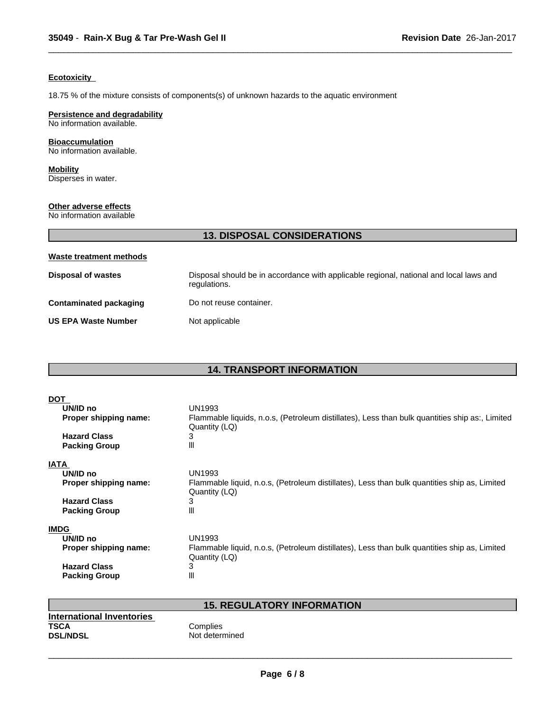## **Ecotoxicity**

18.75 % of the mixture consists of components(s) of unknown hazards to the aquatic environment

## **Persistence and degradability**

No information available.

## **Bioaccumulation**

No information available.

**Mobility** Disperses in water.

# **Other adverse effects**

No information available

| <b>13. DISPOSAL CONSIDERATIONS</b> |                                                                                                        |  |  |
|------------------------------------|--------------------------------------------------------------------------------------------------------|--|--|
| Waste treatment methods            |                                                                                                        |  |  |
| <b>Disposal of wastes</b>          | Disposal should be in accordance with applicable regional, national and local laws and<br>regulations. |  |  |
| <b>Contaminated packaging</b>      | Do not reuse container.                                                                                |  |  |
| <b>US EPA Waste Number</b>         | Not applicable                                                                                         |  |  |

 $\overline{\phantom{a}}$  ,  $\overline{\phantom{a}}$  ,  $\overline{\phantom{a}}$  ,  $\overline{\phantom{a}}$  ,  $\overline{\phantom{a}}$  ,  $\overline{\phantom{a}}$  ,  $\overline{\phantom{a}}$  ,  $\overline{\phantom{a}}$  ,  $\overline{\phantom{a}}$  ,  $\overline{\phantom{a}}$  ,  $\overline{\phantom{a}}$  ,  $\overline{\phantom{a}}$  ,  $\overline{\phantom{a}}$  ,  $\overline{\phantom{a}}$  ,  $\overline{\phantom{a}}$  ,  $\overline{\phantom{a}}$ 

# **14. TRANSPORT INFORMATION**

| UN1993                                                                                         |
|------------------------------------------------------------------------------------------------|
| Flammable liquids, n.o.s, (Petroleum distillates), Less than bulk quantities ship as:, Limited |
| Quantity (LQ)                                                                                  |
| 3                                                                                              |
| Ш                                                                                              |
|                                                                                                |
| UN1993                                                                                         |
| Flammable liquid, n.o.s, (Petroleum distillates), Less than bulk quantities ship as, Limited   |
| Quantity (LQ)                                                                                  |
| 3                                                                                              |
| Ш                                                                                              |
|                                                                                                |
|                                                                                                |
| <b>UN1993</b>                                                                                  |
| Flammable liquid, n.o.s, (Petroleum distillates), Less than bulk quantities ship as, Limited   |
| Quantity (LQ)                                                                                  |
| 3                                                                                              |
| Ш                                                                                              |
|                                                                                                |

# **15. REGULATORY INFORMATION**

| International Inventories |                |
|---------------------------|----------------|
| <b>TSCA</b>               | Complies       |
| <b>DSL/NDSL</b>           | Not determined |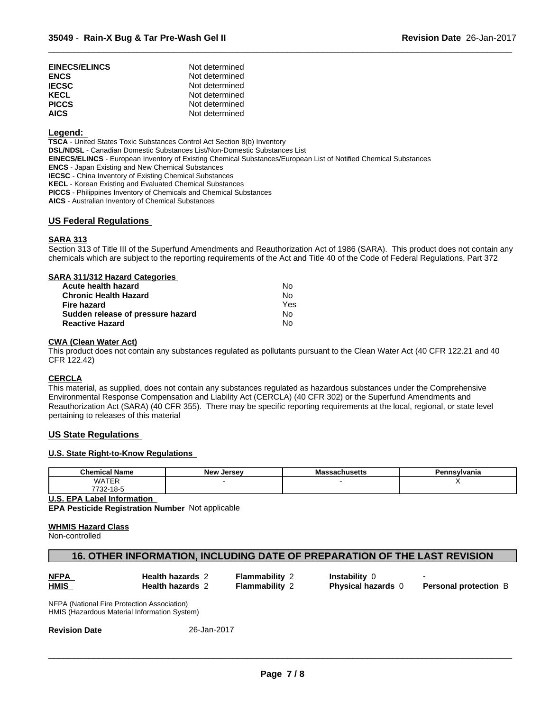| <b>EINECS/ELINCS</b><br><b>ENCS</b> | Not determined<br>Not determined |
|-------------------------------------|----------------------------------|
| <b>IECSC</b>                        | Not determined                   |
| KECL                                | Not determined                   |
| <b>PICCS</b>                        | Not determined                   |
| <b>AICS</b>                         | Not determined                   |

## **Legend:**

**TSCA** - United States Toxic Substances Control Act Section 8(b) Inventory **DSL/NDSL** - Canadian Domestic Substances List/Non-Domestic Substances List

**EINECS/ELINCS** - European Inventory of Existing Chemical Substances/European List of Notified Chemical Substances

**ENCS** - Japan Existing and New Chemical Substances

**IECSC** - China Inventory of Existing Chemical Substances

**KECL** - Korean Existing and Evaluated Chemical Substances

**PICCS** - Philippines Inventory of Chemicals and Chemical Substances

**AICS** - Australian Inventory of Chemical Substances

## **US Federal Regulations**

## **SARA 313**

Section 313 of Title III of the Superfund Amendments and Reauthorization Act of 1986 (SARA). This product does not contain any chemicals which are subject to the reporting requirements of the Act and Title 40 of the Code of Federal Regulations, Part 372

 $\overline{\phantom{a}}$  ,  $\overline{\phantom{a}}$  ,  $\overline{\phantom{a}}$  ,  $\overline{\phantom{a}}$  ,  $\overline{\phantom{a}}$  ,  $\overline{\phantom{a}}$  ,  $\overline{\phantom{a}}$  ,  $\overline{\phantom{a}}$  ,  $\overline{\phantom{a}}$  ,  $\overline{\phantom{a}}$  ,  $\overline{\phantom{a}}$  ,  $\overline{\phantom{a}}$  ,  $\overline{\phantom{a}}$  ,  $\overline{\phantom{a}}$  ,  $\overline{\phantom{a}}$  ,  $\overline{\phantom{a}}$ 

| SARA 311/312 Hazard Categories    |     |  |
|-----------------------------------|-----|--|
| Acute health hazard               | No  |  |
| <b>Chronic Health Hazard</b>      | No  |  |
| Fire hazard                       | Yes |  |
| Sudden release of pressure hazard | No  |  |
| <b>Reactive Hazard</b>            | No  |  |
|                                   |     |  |

## **CWA** (Clean Water Act)

This product does not contain any substances regulated as pollutants pursuant to the Clean Water Act (40 CFR 122.21 and 40 CFR 122.42)

## **CERCLA**

This material, as supplied, does not contain any substances regulated as hazardous substances under the Comprehensive Environmental Response Compensation and Liability Act (CERCLA) (40 CFR 302) or the Superfund Amendments and Reauthorization Act (SARA) (40 CFR 355). There may be specific reporting requirements at the local, regional, or state level pertaining to releases of this material

## **US State Regulations**

## **U.S. State Right-to-Know Regulations**

| <b>Chemica.</b><br>Name | . .<br>New<br>Jersev | - - UNIU SULLO | n.<br>anıd! |
|-------------------------|----------------------|----------------|-------------|
| <b>WATER</b>            |                      |                | $\cdots$    |
| 770<br>10<br>732-10-0   |                      |                |             |

**U.S. EPA Label Information**

**EPA Pesticide Registration Number** Notapplicable

#### **WHMIS Hazard Class**

Non-controlled

## **16. OTHER INFORMATION, INCLUDING DATE OF PREPARATION OF THE LAST REVISION**

| u       |  |
|---------|--|
| м<br>۰. |  |

# **Health hazards** 2 - Flammability 2 - Instability 0

**Health hazards** 2 **Flammability** 2 **Physical hazards** 0

**Personal protection** B

NFPA (National Fire Protection Association) HMIS (Hazardous Material Information System)

**Revision Date** 26-Jan-2017